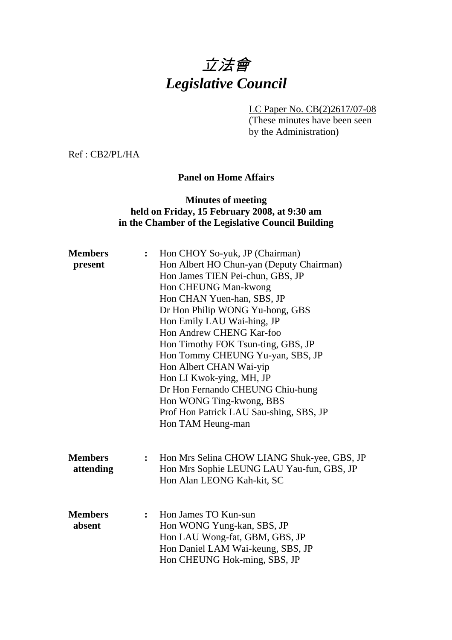# 立法會 *Legislative Council*

LC Paper No. CB(2)2617/07-08

(These minutes have been seen by the Administration)

Ref : CB2/PL/HA

#### **Panel on Home Affairs**

#### **Minutes of meeting held on Friday, 15 February 2008, at 9:30 am in the Chamber of the Legislative Council Building**

| Hon Albert HO Chun-yan (Deputy Chairman)<br>present<br>Hon James TIEN Pei-chun, GBS, JP<br>Hon CHEUNG Man-kwong<br>Hon CHAN Yuen-han, SBS, JP |
|-----------------------------------------------------------------------------------------------------------------------------------------------|
|                                                                                                                                               |
|                                                                                                                                               |
|                                                                                                                                               |
|                                                                                                                                               |
| Dr Hon Philip WONG Yu-hong, GBS                                                                                                               |
| Hon Emily LAU Wai-hing, JP                                                                                                                    |
| Hon Andrew CHENG Kar-foo                                                                                                                      |
| Hon Timothy FOK Tsun-ting, GBS, JP                                                                                                            |
| Hon Tommy CHEUNG Yu-yan, SBS, JP                                                                                                              |
| Hon Albert CHAN Wai-yip                                                                                                                       |
| Hon LI Kwok-ying, MH, JP                                                                                                                      |
| Dr Hon Fernando CHEUNG Chiu-hung                                                                                                              |
| Hon WONG Ting-kwong, BBS                                                                                                                      |
| Prof Hon Patrick LAU Sau-shing, SBS, JP                                                                                                       |
| Hon TAM Heung-man                                                                                                                             |
|                                                                                                                                               |
| <b>Members</b><br>Hon Mrs Selina CHOW LIANG Shuk-yee, GBS, JP<br>$\ddot{\cdot}$                                                               |
| Hon Mrs Sophie LEUNG LAU Yau-fun, GBS, JP<br>attending                                                                                        |
| Hon Alan LEONG Kah-kit, SC                                                                                                                    |
|                                                                                                                                               |
| <b>Members</b><br>Hon James TO Kun-sun                                                                                                        |
| Hon WONG Yung-kan, SBS, JP<br>absent                                                                                                          |
| Hon LAU Wong-fat, GBM, GBS, JP                                                                                                                |
| Hon Daniel LAM Wai-keung, SBS, JP                                                                                                             |
| Hon CHEUNG Hok-ming, SBS, JP                                                                                                                  |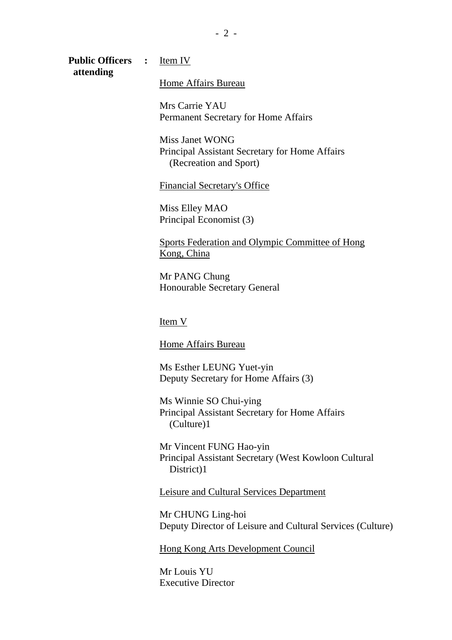**Public Officers :** Item IV  **attending** 

Home Affairs Bureau

Mrs Carrie YAU Permanent Secretary for Home Affairs

Miss Janet WONG Principal Assistant Secretary for Home Affairs (Recreation and Sport)

Financial Secretary's Office

Miss Elley MAO Principal Economist (3)

Sports Federation and Olympic Committee of Hong Kong, China

Mr PANG Chung Honourable Secretary General

Item V

Home Affairs Bureau

Ms Esther LEUNG Yuet-yin Deputy Secretary for Home Affairs (3)

Ms Winnie SO Chui-ying Principal Assistant Secretary for Home Affairs (Culture)1

Mr Vincent FUNG Hao-yin Principal Assistant Secretary (West Kowloon Cultural District)1

Leisure and Cultural Services Department

Mr CHUNG Ling-hoi Deputy Director of Leisure and Cultural Services (Culture)

Hong Kong Arts Development Council

Mr Louis YU Executive Director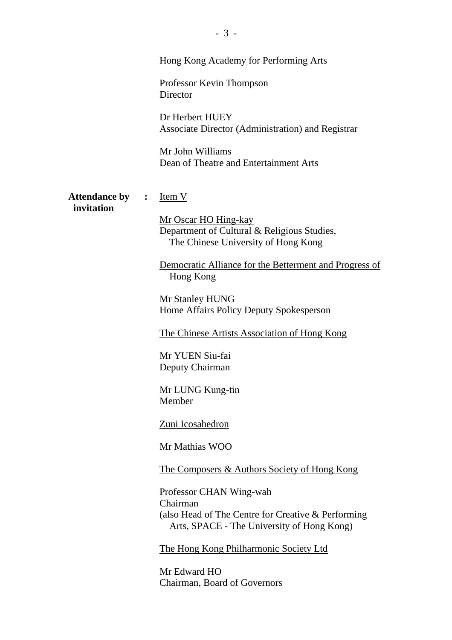|                                    |                | <b>Hong Kong Academy for Performing Arts</b><br>Professor Kevin Thompson<br>Director<br>Dr Herbert HUEY<br><b>Associate Director (Administration) and Registrar</b><br>Mr John Williams<br>Dean of Theatre and Entertainment Arts                                                                                                                                                                                                                                                                                                                                                                                                                               |
|------------------------------------|----------------|-----------------------------------------------------------------------------------------------------------------------------------------------------------------------------------------------------------------------------------------------------------------------------------------------------------------------------------------------------------------------------------------------------------------------------------------------------------------------------------------------------------------------------------------------------------------------------------------------------------------------------------------------------------------|
| <b>Attendance by</b><br>invitation | $\ddot{\cdot}$ | Item V<br>Mr Oscar HO Hing-kay<br>Department of Cultural & Religious Studies,<br>The Chinese University of Hong Kong<br>Democratic Alliance for the Betterment and Progress of<br>Hong Kong<br>Mr Stanley HUNG<br>Home Affairs Policy Deputy Spokesperson<br>The Chinese Artists Association of Hong Kong<br>Mr YUEN Siu-fai<br>Deputy Chairman<br>Mr LUNG Kung-tin<br>Member<br>Zuni Icosahedron<br>Mr Mathias WOO<br>The Composers & Authors Society of Hong Kong<br>Professor CHAN Wing-wah<br>Chairman<br>(also Head of The Centre for Creative & Performing<br>Arts, SPACE - The University of Hong Kong)<br><b>The Hong Kong Philharmonic Society Ltd</b> |
|                                    |                | Mr Edward HO<br>Chairman, Board of Governors                                                                                                                                                                                                                                                                                                                                                                                                                                                                                                                                                                                                                    |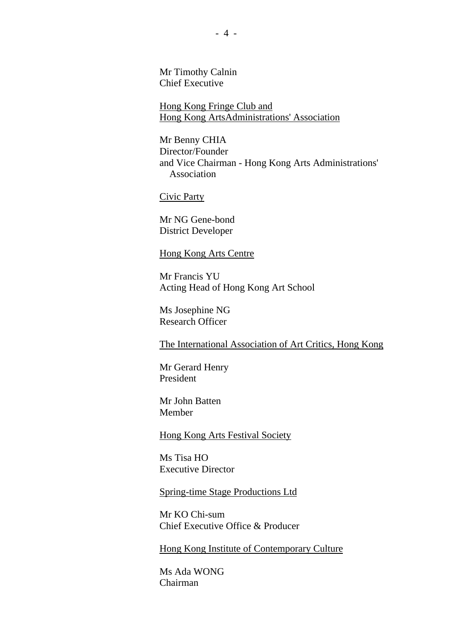Mr Timothy Calnin Chief Executive

Hong Kong Fringe Club and Hong Kong ArtsAdministrations' Association

Mr Benny CHIA Director/Founder and Vice Chairman - Hong Kong Arts Administrations' Association

Civic Party

Mr NG Gene-bond District Developer

#### Hong Kong Arts Centre

Mr Francis YU Acting Head of Hong Kong Art School

Ms Josephine NG Research Officer

The International Association of Art Critics, Hong Kong

Mr Gerard Henry President

Mr John Batten Member

Hong Kong Arts Festival Society

Ms Tisa HO Executive Director

Spring-time Stage Productions Ltd

Mr KO Chi-sum Chief Executive Office & Producer

Hong Kong Institute of Contemporary Culture

Ms Ada WONG Chairman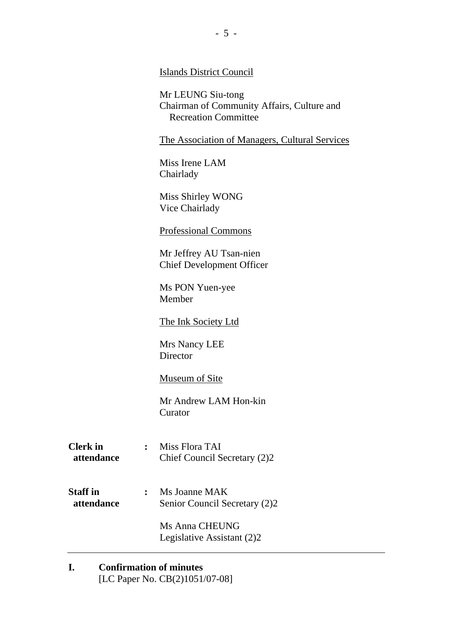#### Islands District Council

Mr LEUNG Siu-tong Chairman of Community Affairs, Culture and Recreation Committee

The Association of Managers, Cultural Services

Miss Irene LAM Chairlady

Miss Shirley WONG Vice Chairlady

#### Professional Commons

Mr Jeffrey AU Tsan-nien Chief Development Officer

Ms PON Yuen-yee Member

The Ink Society Ltd

Mrs Nancy LEE **Director** 

Museum of Site

Mr Andrew LAM Hon-kin Curator

**Clerk in :** Miss Flora TAI  **attendance** Chief Council Secretary (2)2

**Staff in :** Ms Joanne MAK **attendance** Senior Council Secretary (2)2

> Ms Anna CHEUNG Legislative Assistant (2)2

## **I. Confirmation of minutes**

[LC Paper No. CB(2)1051/07-08]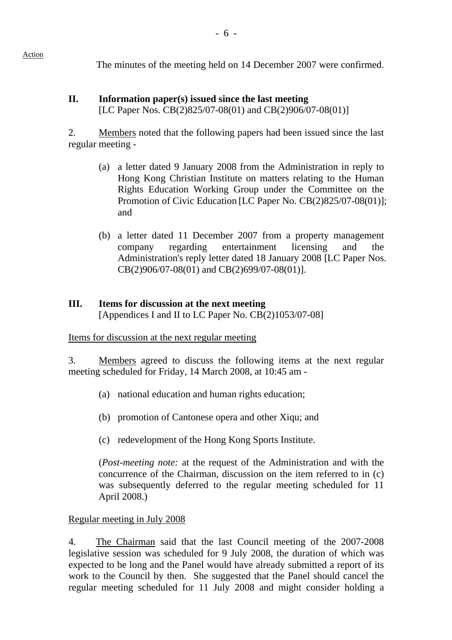The minutes of the meeting held on 14 December 2007 were confirmed.

## **II. Information paper(s) issued since the last meeting**  [LC Paper Nos. CB(2)825/07-08(01) and CB(2)906/07-08(01)]

2. Members noted that the following papers had been issued since the last regular meeting -

- (a) a letter dated 9 January 2008 from the Administration in reply to Hong Kong Christian Institute on matters relating to the Human Rights Education Working Group under the Committee on the Promotion of Civic Education [LC Paper No. CB(2)825/07-08(01)]; and
- (b) a letter dated 11 December 2007 from a property management company regarding entertainment licensing and the Administration's reply letter dated 18 January 2008 [LC Paper Nos. CB(2)906/07-08(01) and CB(2)699/07-08(01)].

# **III. Items for discussion at the next meeting**

[Appendices I and II to LC Paper No. CB(2)1053/07-08]

Items for discussion at the next regular meeting

3. Members agreed to discuss the following items at the next regular meeting scheduled for Friday, 14 March 2008, at 10:45 am -

- (a) national education and human rights education;
- (b) promotion of Cantonese opera and other Xiqu; and
- (c) redevelopment of the Hong Kong Sports Institute.

(*Post-meeting note:* at the request of the Administration and with the concurrence of the Chairman, discussion on the item referred to in (c) was subsequently deferred to the regular meeting scheduled for 11 April 2008.)

## Regular meeting in July 2008

4. The Chairman said that the last Council meeting of the 2007-2008 legislative session was scheduled for 9 July 2008, the duration of which was expected to be long and the Panel would have already submitted a report of its work to the Council by then. She suggested that the Panel should cancel the regular meeting scheduled for 11 July 2008 and might consider holding a

Action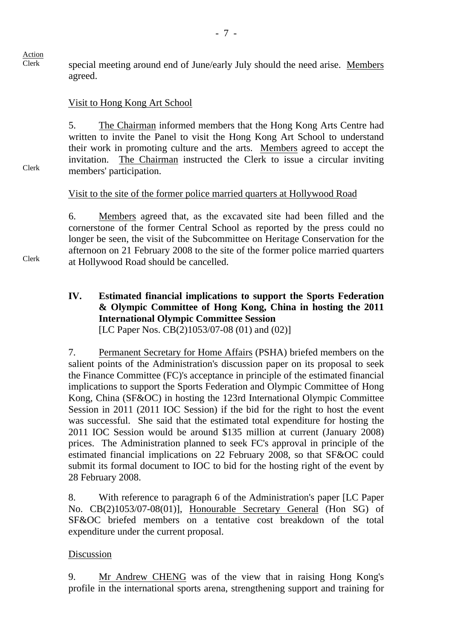Clerk

Clerk

Clerk special meeting around end of June/early July should the need arise. Members agreed.

#### Visit to Hong Kong Art School

5. The Chairman informed members that the Hong Kong Arts Centre had written to invite the Panel to visit the Hong Kong Art School to understand their work in promoting culture and the arts. Members agreed to accept the invitation. The Chairman instructed the Clerk to issue a circular inviting members' participation.

#### Visit to the site of the former police married quarters at Hollywood Road

6. Members agreed that, as the excavated site had been filled and the cornerstone of the former Central School as reported by the press could no longer be seen, the visit of the Subcommittee on Heritage Conservation for the afternoon on 21 February 2008 to the site of the former police married quarters at Hollywood Road should be cancelled.

**IV. Estimated financial implications to support the Sports Federation & Olympic Committee of Hong Kong, China in hosting the 2011 International Olympic Committee Session**  [LC Paper Nos. CB(2)1053/07-08 (01) and (02)]

7. Permanent Secretary for Home Affairs (PSHA) briefed members on the salient points of the Administration's discussion paper on its proposal to seek the Finance Committee (FC)'s acceptance in principle of the estimated financial implications to support the Sports Federation and Olympic Committee of Hong Kong, China (SF&OC) in hosting the 123rd International Olympic Committee Session in 2011 (2011 IOC Session) if the bid for the right to host the event was successful. She said that the estimated total expenditure for hosting the 2011 IOC Session would be around \$135 million at current (January 2008) prices. The Administration planned to seek FC's approval in principle of the estimated financial implications on 22 February 2008, so that SF&OC could submit its formal document to IOC to bid for the hosting right of the event by 28 February 2008.

8. With reference to paragraph 6 of the Administration's paper [LC Paper No. CB(2)1053/07-08(01)], Honourable Secretary General (Hon SG) of SF&OC briefed members on a tentative cost breakdown of the total expenditure under the current proposal.

#### Discussion

9. Mr Andrew CHENG was of the view that in raising Hong Kong's profile in the international sports arena, strengthening support and training for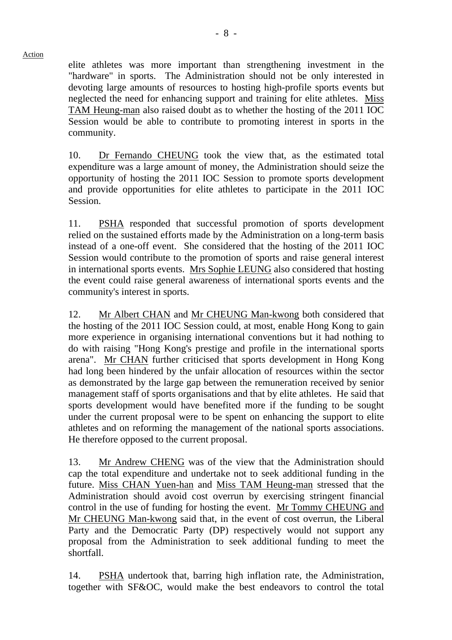elite athletes was more important than strengthening investment in the "hardware" in sports. The Administration should not be only interested in devoting large amounts of resources to hosting high-profile sports events but neglected the need for enhancing support and training for elite athletes. Miss TAM Heung-man also raised doubt as to whether the hosting of the 2011 IOC Session would be able to contribute to promoting interest in sports in the community.

10. Dr Fernando CHEUNG took the view that, as the estimated total expenditure was a large amount of money, the Administration should seize the opportunity of hosting the 2011 IOC Session to promote sports development and provide opportunities for elite athletes to participate in the 2011 IOC Session.

11. PSHA responded that successful promotion of sports development relied on the sustained efforts made by the Administration on a long-term basis instead of a one-off event. She considered that the hosting of the 2011 IOC Session would contribute to the promotion of sports and raise general interest in international sports events. Mrs Sophie LEUNG also considered that hosting the event could raise general awareness of international sports events and the community's interest in sports.

12. Mr Albert CHAN and Mr CHEUNG Man-kwong both considered that the hosting of the 2011 IOC Session could, at most, enable Hong Kong to gain more experience in organising international conventions but it had nothing to do with raising "Hong Kong's prestige and profile in the international sports arena". Mr CHAN further criticised that sports development in Hong Kong had long been hindered by the unfair allocation of resources within the sector as demonstrated by the large gap between the remuneration received by senior management staff of sports organisations and that by elite athletes. He said that sports development would have benefited more if the funding to be sought under the current proposal were to be spent on enhancing the support to elite athletes and on reforming the management of the national sports associations. He therefore opposed to the current proposal.

13. Mr Andrew CHENG was of the view that the Administration should cap the total expenditure and undertake not to seek additional funding in the future. Miss CHAN Yuen-han and Miss TAM Heung-man stressed that the Administration should avoid cost overrun by exercising stringent financial control in the use of funding for hosting the event. Mr Tommy CHEUNG and Mr CHEUNG Man-kwong said that, in the event of cost overrun, the Liberal Party and the Democratic Party (DP) respectively would not support any proposal from the Administration to seek additional funding to meet the shortfall.

14. PSHA undertook that, barring high inflation rate, the Administration, together with SF&OC, would make the best endeavors to control the total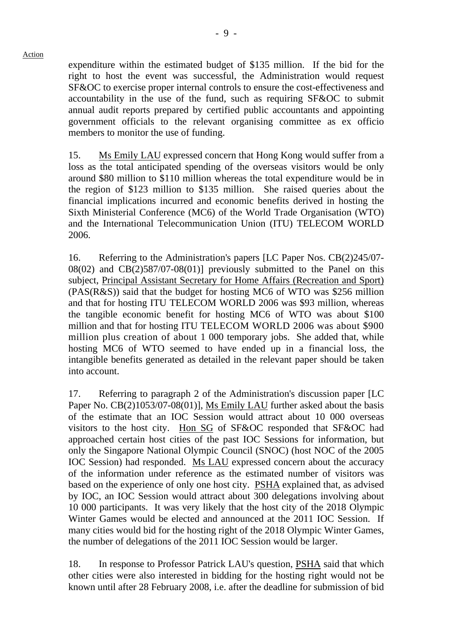expenditure within the estimated budget of \$135 million. If the bid for the right to host the event was successful, the Administration would request SF&OC to exercise proper internal controls to ensure the cost-effectiveness and accountability in the use of the fund, such as requiring SF&OC to submit annual audit reports prepared by certified public accountants and appointing government officials to the relevant organising committee as ex officio members to monitor the use of funding.

15. Ms Emily LAU expressed concern that Hong Kong would suffer from a loss as the total anticipated spending of the overseas visitors would be only around \$80 million to \$110 million whereas the total expenditure would be in the region of \$123 million to \$135 million. She raised queries about the financial implications incurred and economic benefits derived in hosting the Sixth Ministerial Conference (MC6) of the World Trade Organisation (WTO) and the International Telecommunication Union (ITU) TELECOM WORLD 2006.

16. Referring to the Administration's papers [LC Paper Nos. CB(2)245/07-  $08(02)$  and  $CB(2)587/07-08(01)$ ] previously submitted to the Panel on this subject, Principal Assistant Secretary for Home Affairs (Recreation and Sport) (PAS(R&S)) said that the budget for hosting MC6 of WTO was \$256 million and that for hosting ITU TELECOM WORLD 2006 was \$93 million, whereas the tangible economic benefit for hosting MC6 of WTO was about \$100 million and that for hosting ITU TELECOM WORLD 2006 was about \$900 million plus creation of about 1 000 temporary jobs. She added that, while hosting MC6 of WTO seemed to have ended up in a financial loss, the intangible benefits generated as detailed in the relevant paper should be taken into account.

17. Referring to paragraph 2 of the Administration's discussion paper [LC Paper No. CB(2)1053/07-08(01)], Ms Emily LAU further asked about the basis of the estimate that an IOC Session would attract about 10 000 overseas visitors to the host city. Hon SG of SF&OC responded that SF&OC had approached certain host cities of the past IOC Sessions for information, but only the Singapore National Olympic Council (SNOC) (host NOC of the 2005 IOC Session) had responded. Ms LAU expressed concern about the accuracy of the information under reference as the estimated number of visitors was based on the experience of only one host city. PSHA explained that, as advised by IOC, an IOC Session would attract about 300 delegations involving about 10 000 participants. It was very likely that the host city of the 2018 Olympic Winter Games would be elected and announced at the 2011 IOC Session. If many cities would bid for the hosting right of the 2018 Olympic Winter Games, the number of delegations of the 2011 IOC Session would be larger.

18. In response to Professor Patrick LAU's question, PSHA said that which other cities were also interested in bidding for the hosting right would not be known until after 28 February 2008, i.e. after the deadline for submission of bid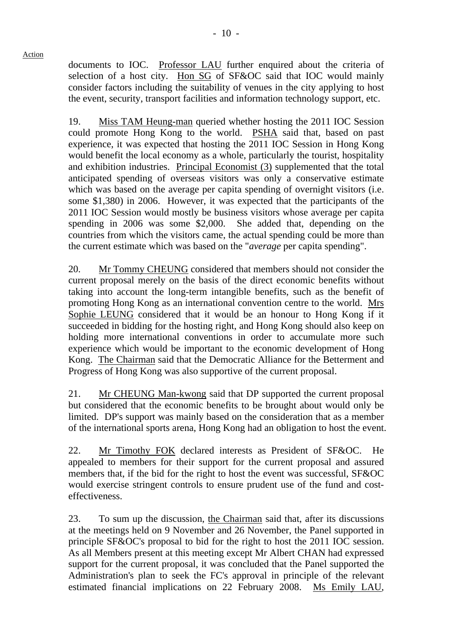documents to IOC. Professor LAU further enquired about the criteria of selection of a host city. Hon SG of SF&OC said that IOC would mainly consider factors including the suitability of venues in the city applying to host the event, security, transport facilities and information technology support, etc.

19. Miss TAM Heung-man queried whether hosting the 2011 IOC Session could promote Hong Kong to the world. PSHA said that, based on past experience, it was expected that hosting the 2011 IOC Session in Hong Kong would benefit the local economy as a whole, particularly the tourist, hospitality and exhibition industries. Principal Economist (3) supplemented that the total anticipated spending of overseas visitors was only a conservative estimate which was based on the average per capita spending of overnight visitors (i.e. some \$1,380) in 2006. However, it was expected that the participants of the 2011 IOC Session would mostly be business visitors whose average per capita spending in 2006 was some \$2,000. She added that, depending on the countries from which the visitors came, the actual spending could be more than the current estimate which was based on the "*average* per capita spending".

20. Mr Tommy CHEUNG considered that members should not consider the current proposal merely on the basis of the direct economic benefits without taking into account the long-term intangible benefits, such as the benefit of promoting Hong Kong as an international convention centre to the world. Mrs Sophie LEUNG considered that it would be an honour to Hong Kong if it succeeded in bidding for the hosting right, and Hong Kong should also keep on holding more international conventions in order to accumulate more such experience which would be important to the economic development of Hong Kong. The Chairman said that the Democratic Alliance for the Betterment and Progress of Hong Kong was also supportive of the current proposal.

21. Mr CHEUNG Man-kwong said that DP supported the current proposal but considered that the economic benefits to be brought about would only be limited. DP's support was mainly based on the consideration that as a member of the international sports arena, Hong Kong had an obligation to host the event.

22. Mr Timothy FOK declared interests as President of SF&OC. He appealed to members for their support for the current proposal and assured members that, if the bid for the right to host the event was successful, SF&OC would exercise stringent controls to ensure prudent use of the fund and costeffectiveness.

23. To sum up the discussion, the Chairman said that, after its discussions at the meetings held on 9 November and 26 November, the Panel supported in principle SF&OC's proposal to bid for the right to host the 2011 IOC session. As all Members present at this meeting except Mr Albert CHAN had expressed support for the current proposal, it was concluded that the Panel supported the Administration's plan to seek the FC's approval in principle of the relevant estimated financial implications on 22 February 2008. Ms Emily LAU,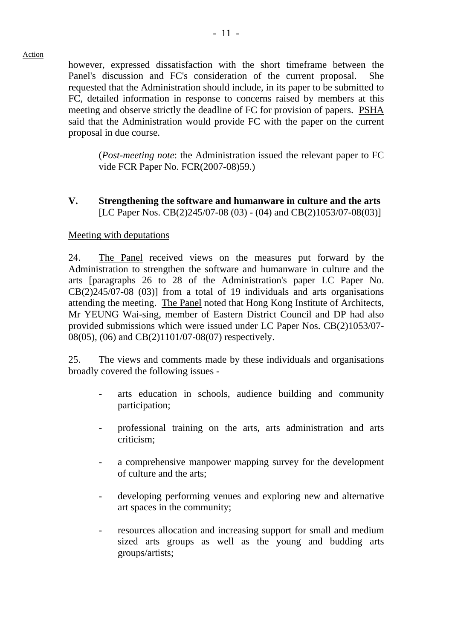however, expressed dissatisfaction with the short timeframe between the Panel's discussion and FC's consideration of the current proposal. She requested that the Administration should include, in its paper to be submitted to FC, detailed information in response to concerns raised by members at this meeting and observe strictly the deadline of FC for provision of papers. PSHA said that the Administration would provide FC with the paper on the current proposal in due course.

(*Post-meeting note*: the Administration issued the relevant paper to FC vide FCR Paper No. FCR(2007-08)59.)

## **V. Strengthening the software and humanware in culture and the arts**  [LC Paper Nos. CB(2)245/07-08 (03) - (04) and CB(2)1053/07-08(03)]

## Meeting with deputations

24. The Panel received views on the measures put forward by the Administration to strengthen the software and humanware in culture and the arts [paragraphs 26 to 28 of the Administration's paper LC Paper No. CB(2)245/07-08 (03)] from a total of 19 individuals and arts organisations attending the meeting. The Panel noted that Hong Kong Institute of Architects, Mr YEUNG Wai-sing, member of Eastern District Council and DP had also provided submissions which were issued under LC Paper Nos. CB(2)1053/07- 08(05), (06) and CB(2)1101/07-08(07) respectively.

25. The views and comments made by these individuals and organisations broadly covered the following issues -

- arts education in schools, audience building and community participation;
- professional training on the arts, arts administration and arts criticism;
- a comprehensive manpower mapping survey for the development of culture and the arts;
- developing performing venues and exploring new and alternative art spaces in the community;
- resources allocation and increasing support for small and medium sized arts groups as well as the young and budding arts groups/artists;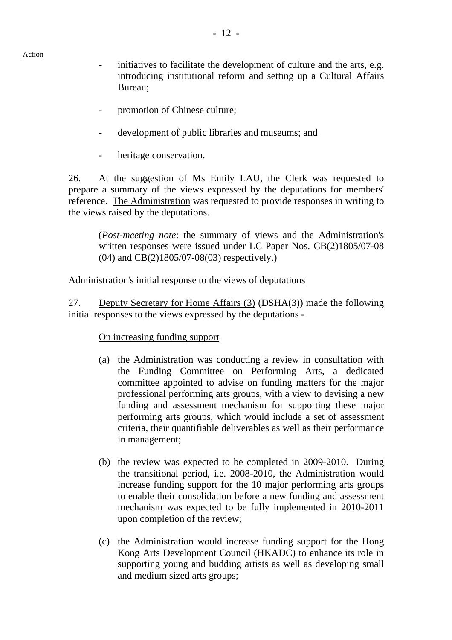- initiatives to facilitate the development of culture and the arts, e.g. introducing institutional reform and setting up a Cultural Affairs Bureau;
- promotion of Chinese culture;
- development of public libraries and museums; and
- heritage conservation.

26. At the suggestion of Ms Emily LAU, the Clerk was requested to prepare a summary of the views expressed by the deputations for members' reference. The Administration was requested to provide responses in writing to the views raised by the deputations.

(*Post-meeting note*: the summary of views and the Administration's written responses were issued under LC Paper Nos. CB(2)1805/07-08 (04) and CB(2)1805/07-08(03) respectively.)

#### Administration's initial response to the views of deputations

27. Deputy Secretary for Home Affairs (3) (DSHA(3)) made the following initial responses to the views expressed by the deputations -

#### On increasing funding support

- (a) the Administration was conducting a review in consultation with the Funding Committee on Performing Arts, a dedicated committee appointed to advise on funding matters for the major professional performing arts groups, with a view to devising a new funding and assessment mechanism for supporting these major performing arts groups, which would include a set of assessment criteria, their quantifiable deliverables as well as their performance in management;
- (b) the review was expected to be completed in 2009-2010. During the transitional period, i.e. 2008-2010, the Administration would increase funding support for the 10 major performing arts groups to enable their consolidation before a new funding and assessment mechanism was expected to be fully implemented in 2010-2011 upon completion of the review;
- (c) the Administration would increase funding support for the Hong Kong Arts Development Council (HKADC) to enhance its role in supporting young and budding artists as well as developing small and medium sized arts groups;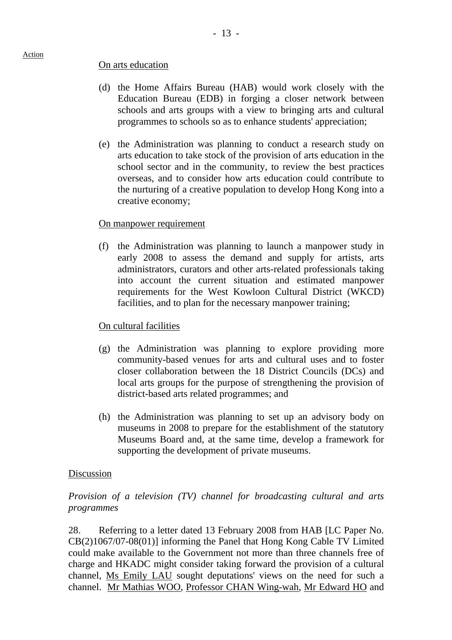#### On arts education

- (d) the Home Affairs Bureau (HAB) would work closely with the Education Bureau (EDB) in forging a closer network between schools and arts groups with a view to bringing arts and cultural programmes to schools so as to enhance students' appreciation;
- (e) the Administration was planning to conduct a research study on arts education to take stock of the provision of arts education in the school sector and in the community, to review the best practices overseas, and to consider how arts education could contribute to the nurturing of a creative population to develop Hong Kong into a creative economy;

#### On manpower requirement

(f) the Administration was planning to launch a manpower study in early 2008 to assess the demand and supply for artists, arts administrators, curators and other arts-related professionals taking into account the current situation and estimated manpower requirements for the West Kowloon Cultural District (WKCD) facilities, and to plan for the necessary manpower training;

#### On cultural facilities

- (g) the Administration was planning to explore providing more community-based venues for arts and cultural uses and to foster closer collaboration between the 18 District Councils (DCs) and local arts groups for the purpose of strengthening the provision of district-based arts related programmes; and
- (h) the Administration was planning to set up an advisory body on museums in 2008 to prepare for the establishment of the statutory Museums Board and, at the same time, develop a framework for supporting the development of private museums.

#### Discussion

## *Provision of a television (TV) channel for broadcasting cultural and arts programmes*

28. Referring to a letter dated 13 February 2008 from HAB [LC Paper No. CB(2)1067/07-08(01)] informing the Panel that Hong Kong Cable TV Limited could make available to the Government not more than three channels free of charge and HKADC might consider taking forward the provision of a cultural channel, Ms Emily LAU sought deputations' views on the need for such a channel. Mr Mathias WOO, Professor CHAN Wing-wah, Mr Edward HO and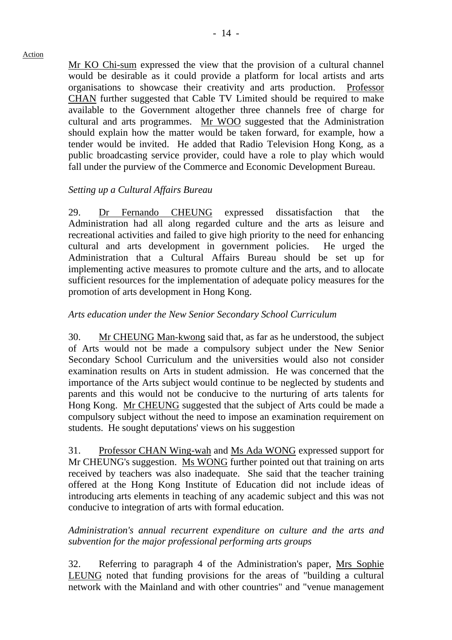Mr KO Chi-sum expressed the view that the provision of a cultural channel would be desirable as it could provide a platform for local artists and arts organisations to showcase their creativity and arts production. Professor CHAN further suggested that Cable TV Limited should be required to make available to the Government altogether three channels free of charge for cultural and arts programmes. Mr WOO suggested that the Administration should explain how the matter would be taken forward, for example, how a tender would be invited. He added that Radio Television Hong Kong, as a public broadcasting service provider, could have a role to play which would fall under the purview of the Commerce and Economic Development Bureau.

## *Setting up a Cultural Affairs Bureau*

29. Dr Fernando CHEUNG expressed dissatisfaction that the Administration had all along regarded culture and the arts as leisure and recreational activities and failed to give high priority to the need for enhancing cultural and arts development in government policies. He urged the Administration that a Cultural Affairs Bureau should be set up for implementing active measures to promote culture and the arts, and to allocate sufficient resources for the implementation of adequate policy measures for the promotion of arts development in Hong Kong.

### *Arts education under the New Senior Secondary School Curriculum*

30. Mr CHEUNG Man-kwong said that, as far as he understood, the subject of Arts would not be made a compulsory subject under the New Senior Secondary School Curriculum and the universities would also not consider examination results on Arts in student admission. He was concerned that the importance of the Arts subject would continue to be neglected by students and parents and this would not be conducive to the nurturing of arts talents for Hong Kong. Mr CHEUNG suggested that the subject of Arts could be made a compulsory subject without the need to impose an examination requirement on students. He sought deputations' views on his suggestion

31. Professor CHAN Wing-wah and Ms Ada WONG expressed support for Mr CHEUNG's suggestion. Ms WONG further pointed out that training on arts received by teachers was also inadequate. She said that the teacher training offered at the Hong Kong Institute of Education did not include ideas of introducing arts elements in teaching of any academic subject and this was not conducive to integration of arts with formal education.

#### *Administration's annual recurrent expenditure on culture and the arts and subvention for the major professional performing arts groups*

32. Referring to paragraph 4 of the Administration's paper, Mrs Sophie LEUNG noted that funding provisions for the areas of "building a cultural network with the Mainland and with other countries" and "venue management